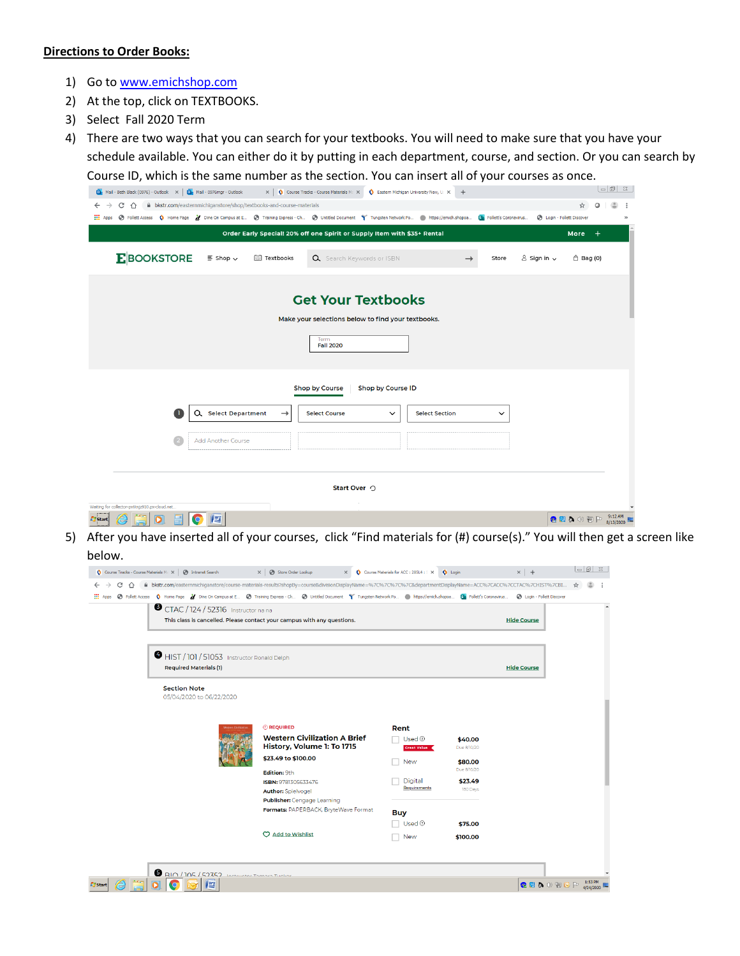## **Directions to Order Books:**

- 1) Go to www.emichshop.com
- 2) At the top, click on TEXTBOOKS.
- 3) Select Fall 2020 Term

4) There are two ways that you can search for your textbooks. You will need to make sure that you have your schedule available. You can either do it by putting in each department, course, and section. Or you can search by Course ID, which is the same number as the section. You can insert all of your courses as once.

| Mail - Beth Black (0976) - Outlook X   Or Mail - 0976mgr - Outlook<br>$\times$   $\bullet$ Course Tracks - Course Materials Max<br>Eastern Michigan University New, U. X<br>$+$                                                                  |           | $\vert \circ \vert \circ \vert$ $\otimes$ |           |  |  |  |  |
|--------------------------------------------------------------------------------------------------------------------------------------------------------------------------------------------------------------------------------------------------|-----------|-------------------------------------------|-----------|--|--|--|--|
| bkstr.com/easternmichiganstore/shop/textbooks-and-course-materials<br>C<br>$\leftarrow$<br>$\rightarrow$<br>$\cap$                                                                                                                               |           |                                           |           |  |  |  |  |
| → Follett Access < Nome Page > Z Dine On Campus at E → Training Express - Ch → Untitled Document T Tungsten Network Po ● https://emich.shopoa<br><b>Sti</b> Follett's Coronavirus<br><b>B</b> Login - Follett Discover<br>$\frac{111}{111}$ Apps |           |                                           |           |  |  |  |  |
| Order Early Special! 20% off one Spirit or Supply Item with \$35+ Rental                                                                                                                                                                         | More      | $+$                                       |           |  |  |  |  |
| <b>E</b> BOOKSTORE<br>$\equiv$ Shop $\sim$<br>图 Textbooks<br>Q Search Keywords or ISBN<br>$8$ Sign in $\sim$<br>Store                                                                                                                            | □ Bag (0) |                                           |           |  |  |  |  |
| <b>Get Your Textbooks</b>                                                                                                                                                                                                                        |           |                                           |           |  |  |  |  |
| Make your selections below to find your textbooks.<br>Term<br><b>Fall 2020</b>                                                                                                                                                                   |           |                                           |           |  |  |  |  |
| Shop by Course ID<br><b>Shop by Course</b>                                                                                                                                                                                                       |           |                                           |           |  |  |  |  |
| Q Select Department<br><b>Select Course</b><br><b>Select Section</b><br>$\rightarrow$<br>$\check{~}$<br>$\checkmark$                                                                                                                             |           |                                           |           |  |  |  |  |
| <b>Add Another Course</b>                                                                                                                                                                                                                        |           |                                           |           |  |  |  |  |
|                                                                                                                                                                                                                                                  |           |                                           |           |  |  |  |  |
| Start Over $\bigcirc$                                                                                                                                                                                                                            |           |                                           |           |  |  |  |  |
| Waiting for collector-px6tnjz910.px-cloud.net.                                                                                                                                                                                                   |           |                                           |           |  |  |  |  |
| 些<br>Start                                                                                                                                                                                                                                       | ●图象の細P    |                                           | $9:12$ AM |  |  |  |  |

5) After you have inserted all of your courses, click "Find materials for (#) course(s)." You will then get a screen like below.

| HIST / 101 / 51053 Instructor Ronald Delph<br><b>Required Materials (1)</b><br><b>Hide Course</b><br><b>Section Note</b><br>05/04/2020 to 06/22/2020<br><b><i>OREQUIRED</i></b><br>Rent<br><b>Vectern Chillizat</b><br><b>Western Civilization A Brief</b><br>Used $\odot$<br>\$40.00<br>History, Volume 1: To 1715<br>Due 8/10/20<br>Great Value<br>\$23.49 to \$100.00<br>\$80.00<br><b>New</b><br>Due 8/10/20<br>Edition: 9th<br>Digital<br>\$23.49<br>ISBN: 9781305633476<br>Requirements<br>180 Days<br><b>Author:</b> Spielvogel<br>Publisher: Cengage Learning |  | <b>Hide Course</b> |  | This class is cancelled. Please contact your campus with any questions. | CTAC / 124 / 52316 Instructor na na |
|-----------------------------------------------------------------------------------------------------------------------------------------------------------------------------------------------------------------------------------------------------------------------------------------------------------------------------------------------------------------------------------------------------------------------------------------------------------------------------------------------------------------------------------------------------------------------|--|--------------------|--|-------------------------------------------------------------------------|-------------------------------------|
|                                                                                                                                                                                                                                                                                                                                                                                                                                                                                                                                                                       |  |                    |  |                                                                         |                                     |
|                                                                                                                                                                                                                                                                                                                                                                                                                                                                                                                                                                       |  |                    |  |                                                                         |                                     |
| <b>Buy</b><br>Used <sup>®</sup><br>\$75.00<br>C Add to Wishlist<br>\$100.00<br><b>New</b>                                                                                                                                                                                                                                                                                                                                                                                                                                                                             |  |                    |  | Formats: PAPERBACK, BryteWave Format                                    |                                     |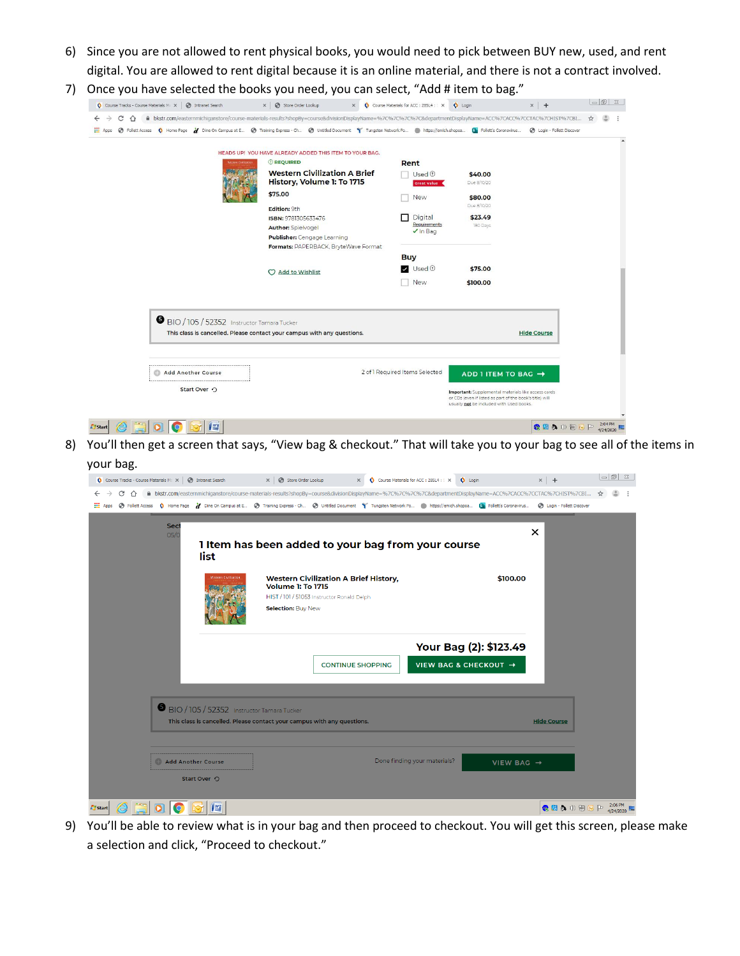- 6) Since you are not allowed to rent physical books, you would need to pick between BUY new, used, and rent digital. You are allowed to rent digital because it is an online material, and there is not a contract involved.
- 7) Once you have selected the books you need, you can select, "Add # item to bag."

| Course Tracks - Course Materials Mill X<br><b>S</b> Intranet Search                                                                                                                                          | X   Store Order Lookup<br>$\times$                                                                                                                             | Course Materials for ACC: 285L4: X                          | <b>Q</b> Login                                                                                                                                              | $\times$ +                        |   | $\sim$ 6 $\sim$ |
|--------------------------------------------------------------------------------------------------------------------------------------------------------------------------------------------------------------|----------------------------------------------------------------------------------------------------------------------------------------------------------------|-------------------------------------------------------------|-------------------------------------------------------------------------------------------------------------------------------------------------------------|-----------------------------------|---|-----------------|
| C<br>$\Omega$<br>→ Follett Access < /> Nome Page > / Dine On Campus at E ● Training Express - Ch ● Untitled Document → Tungsten Network Po ● https://emich.shopoa E Follett's Coronavirus<br><b>III</b> Apps | A bkstr.com/easternmichiganstore/course-materials-results?shopBy=course&divisionDisplayName=%7C%7C%7C%7C%7C%departmentDisplayName=ACC%7CACC%7CCTAC%7CHIST%7CBI |                                                             |                                                                                                                                                             | <b>B</b> Login - Follett Discover | ☆ |                 |
|                                                                                                                                                                                                              | HEADS UP! YOU HAVE ALREADY ADDED THIS ITEM TO YOUR BAG.                                                                                                        |                                                             |                                                                                                                                                             |                                   |   |                 |
|                                                                                                                                                                                                              | <b>C</b> REQUIRED                                                                                                                                              | Rent                                                        |                                                                                                                                                             |                                   |   |                 |
|                                                                                                                                                                                                              | <b>Western Civilization A Brief</b><br>History, Volume 1: To 1715                                                                                              | $Use d$ <sup><math>\odot</math></sup><br><b>Great Value</b> | \$40.00<br>Due 8/10/20                                                                                                                                      |                                   |   |                 |
|                                                                                                                                                                                                              | \$75.00                                                                                                                                                        | <b>New</b>                                                  | \$80.00<br>Due 8/10/20                                                                                                                                      |                                   |   |                 |
|                                                                                                                                                                                                              | Edition: 9th<br>ISBN: 9781305633476<br><b>Author: Spielvogel</b>                                                                                               | Digital<br>Requirements                                     | \$23.49<br>180 Days                                                                                                                                         |                                   |   |                 |
|                                                                                                                                                                                                              | Publisher: Cengage Learning<br>Formats: PAPERBACK, BryteWave Format                                                                                            | $\nu$ In Bag                                                |                                                                                                                                                             |                                   |   |                 |
|                                                                                                                                                                                                              |                                                                                                                                                                | <b>Buy</b><br>$\nu$ Used $\odot$                            | \$75.00                                                                                                                                                     |                                   |   |                 |
|                                                                                                                                                                                                              | C Add to Wishlist                                                                                                                                              | New                                                         | \$100.00                                                                                                                                                    |                                   |   |                 |
| BIO / 105 / 52352 Instructor Tamara Tucker                                                                                                                                                                   | This class is cancelled. Please contact your campus with any questions.                                                                                        |                                                             |                                                                                                                                                             | <b>Hide Course</b>                |   |                 |
| <b>Add Another Course</b>                                                                                                                                                                                    |                                                                                                                                                                | 2 of 1 Required Items Selected                              | ADD 1 ITEM TO BAG →                                                                                                                                         |                                   |   |                 |
| Start Over O                                                                                                                                                                                                 |                                                                                                                                                                |                                                             | Important: Supplemental materials like access cards<br>or CDs (even if listed as part of the book's title) will<br>usually not be included with Used books. |                                   |   |                 |
| 些<br><b>Start</b>                                                                                                                                                                                            |                                                                                                                                                                |                                                             |                                                                                                                                                             | 心思みの知                             |   | 2:04 PM         |

8) You'll then get a screen that says, "View bag & checkout." That will take you to your bag to see all of the items in your bag.

| yuu wus.                                                   |                                                                                                                                                                                                      |                        |                              |
|------------------------------------------------------------|------------------------------------------------------------------------------------------------------------------------------------------------------------------------------------------------------|------------------------|------------------------------|
| O Course Tracks - Course Materials Max   @ Intranet Search | Course Materials for ACC : 285L4 : : X C Login<br>$\times$ $\bullet$ Store Order Lookup                                                                                                              |                        | $\times$   +                 |
| C<br>$\cap$                                                | A bkstr.com/easternmichiganstore/course-materials-results?shopBy=course&divisionDisplayName=%7C%7C%7C%7C&departmentDisplayName=ACC%7CACC%7CCTAC%7CHIST%7CBI                                          |                        | ☆                            |
|                                                            | Apps @ Follett Access \ Home Page \ Dine On Campus at E @ Training Express - Ch @ Untitled Document \ Tungsten Network Po . https://emich.shopoa En Follett's Coronavirus @ Login - Follett Discover |                        |                              |
| Sect<br>O <sub>5</sub> /C<br>list                          | 1 Item has been added to your bag from your course                                                                                                                                                   | $\times$               |                              |
|                                                            | <b>Western Civilization</b><br><b>Western Civilization A Brief History,</b><br><b>Volume 1: To 1715</b><br>HIST / 101 / 51053 Instructor Ronald Delph<br>Selection: Buy New                          | \$100.00               |                              |
|                                                            |                                                                                                                                                                                                      | Your Bag (2): \$123.49 |                              |
|                                                            | <b>CONTINUE SHOPPING</b>                                                                                                                                                                             | VIEW BAG & CHECKOUT →  |                              |
|                                                            | BIO / 105 / 52352 Instructor Tamara Tucker<br>This class is cancelled. Please contact your campus with any questions.                                                                                |                        | <b>Hide Course</b>           |
| <b>Add Another Course</b><br>Start Over O                  | Done finding your materials?                                                                                                                                                                         | VIEW BAG $\rightarrow$ |                              |
| 肾<br><b>Start</b>                                          |                                                                                                                                                                                                      |                        | <b>● 图 5 ① 图 6 P 2:06 PM</b> |

9) You'll be able to review what is in your bag and then proceed to checkout. You will get this screen, please make a selection and click, "Proceed to checkout."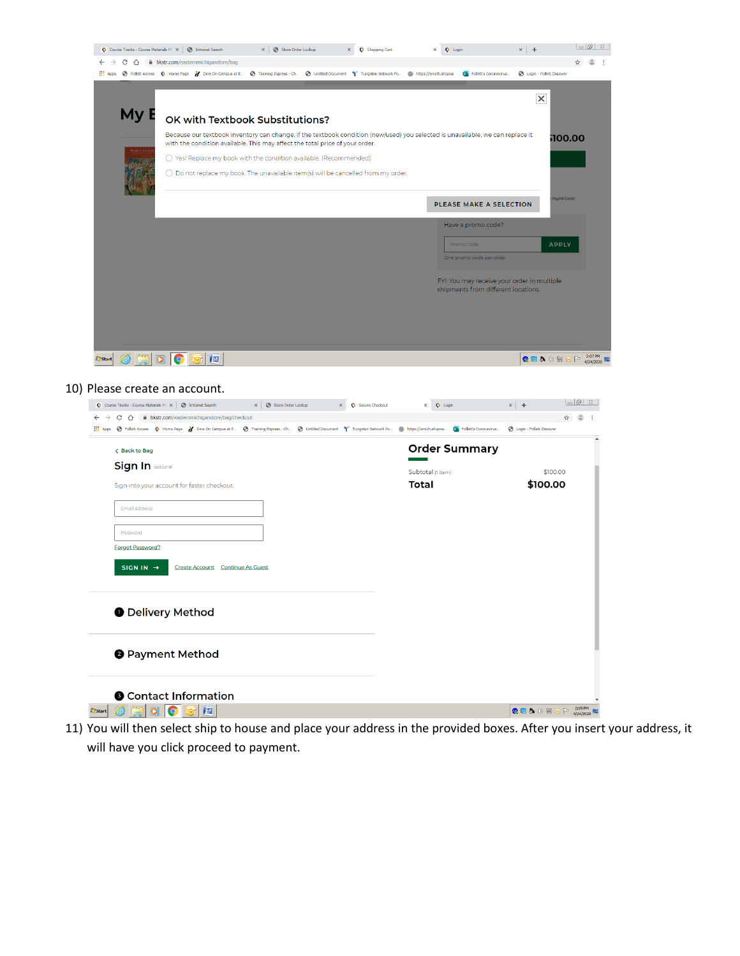|                                        | Course Tracks - Course Materials Max   @ Intranet Search                                                                                                                             | $\times$ $\circ$ Store Order Lookup | Shopping Cart                      | $\times$ $\bullet$ Login                                                                                                                                                     | $\times$   +                                | $\overline{\blacksquare}$  |
|----------------------------------------|--------------------------------------------------------------------------------------------------------------------------------------------------------------------------------------|-------------------------------------|------------------------------------|------------------------------------------------------------------------------------------------------------------------------------------------------------------------------|---------------------------------------------|----------------------------|
| $\leftarrow$ $\rightarrow$ C $\Lambda$ | bkstr.com/easternmichiganstore/bag                                                                                                                                                   |                                     |                                    |                                                                                                                                                                              |                                             | $\uparrow$ $\circ$ $\circ$ |
|                                        |                                                                                                                                                                                      |                                     |                                    | Hops @ Follett Access Q Home Page 2 Dine On Campus at E @ Training Express - Ch @ Untitled Document T Tungsten Network Po @ https://emich.shopoa Din Follett's Coronavirus   | <b>6</b> Login - Follett Discover           |                            |
| My E                                   |                                                                                                                                                                                      |                                     |                                    |                                                                                                                                                                              | $\overline{\mathsf{x}}$                     |                            |
|                                        | OK with Textbook Substitutions?                                                                                                                                                      |                                     |                                    |                                                                                                                                                                              |                                             |                            |
| estern Civil                           | with the condition available. This may affect the total price of your order.                                                                                                         |                                     |                                    | Because our textbook inventory can change, if the textbook condition (new/used) you selected is unavailable, we can replace it                                               |                                             | 100.00                     |
|                                        | ○ Yes! Replace my book with the condition available. (Recommended)                                                                                                                   |                                     |                                    |                                                                                                                                                                              |                                             |                            |
|                                        | $\bigcirc$ Do not replace my book. The unavailable item(s) will be cancelled from my order.                                                                                          |                                     |                                    |                                                                                                                                                                              |                                             |                            |
|                                        |                                                                                                                                                                                      |                                     |                                    | PLEASE MAKE A SELECTION                                                                                                                                                      |                                             | PayPal Credit              |
|                                        |                                                                                                                                                                                      |                                     |                                    | Have a promo code?                                                                                                                                                           |                                             |                            |
|                                        |                                                                                                                                                                                      |                                     |                                    | Promo Code                                                                                                                                                                   |                                             | <b>APPLY</b>               |
|                                        |                                                                                                                                                                                      |                                     |                                    | One promo code per order                                                                                                                                                     |                                             |                            |
|                                        |                                                                                                                                                                                      |                                     |                                    |                                                                                                                                                                              |                                             |                            |
|                                        |                                                                                                                                                                                      |                                     |                                    | shipments from different locations.                                                                                                                                          | FYI: You may receive your order in multiple |                            |
|                                        |                                                                                                                                                                                      |                                     |                                    |                                                                                                                                                                              |                                             |                            |
|                                        |                                                                                                                                                                                      |                                     |                                    |                                                                                                                                                                              |                                             |                            |
|                                        |                                                                                                                                                                                      |                                     |                                    |                                                                                                                                                                              |                                             |                            |
|                                        |                                                                                                                                                                                      |                                     |                                    |                                                                                                                                                                              |                                             |                            |
| <b>A</b> Start                         |                                                                                                                                                                                      |                                     |                                    |                                                                                                                                                                              |                                             | <b>●图 5</b> ① 图 ID 2:07PM  |
|                                        |                                                                                                                                                                                      |                                     |                                    |                                                                                                                                                                              |                                             |                            |
|                                        |                                                                                                                                                                                      |                                     |                                    |                                                                                                                                                                              |                                             |                            |
|                                        | 10) Please create an account.                                                                                                                                                        |                                     |                                    |                                                                                                                                                                              |                                             | $= 2$                      |
|                                        | ◯ Course Tracks - Course Materials M: X   ◯ Intranet Search<br>$\leftarrow$ $\rightarrow$ $\mathbb{C}$ $\hat{\Omega}$ $\hat{\mathbb{H}}$ bkstr.com/easternmichiganstore/bag/checkout | $\times$ $\circ$ Store Order Lookup | $\times$ $\bullet$ Secure Checkout | $\times$ $\bullet$ Login                                                                                                                                                     | $\times$   +                                | ÷                          |
|                                        |                                                                                                                                                                                      |                                     |                                    | The Apps @ Follett Access ( Home Page 2 Dine On Campus at E @ Training Express - Ch @ Untitled Document T Tungsten Network Po https://emich.shopoa [3] Follett's Coronavirus | <b>C</b> Login - Follett Discover           |                            |
|                                        |                                                                                                                                                                                      |                                     |                                    |                                                                                                                                                                              |                                             |                            |
| < Back to Bag                          |                                                                                                                                                                                      |                                     |                                    | <b>Order Summarv</b>                                                                                                                                                         |                                             |                            |

| Subtotal (1 Item)<br>Total | \$100.00<br>\$100.00 |
|----------------------------|----------------------|
|                            |                      |
|                            |                      |
|                            |                      |
|                            |                      |
|                            |                      |
|                            |                      |
|                            |                      |
|                            |                      |
|                            |                      |
|                            |                      |

11) You will then select ship to house and place your address in the provided boxes. After you insert your address, it will have you click proceed to payment.